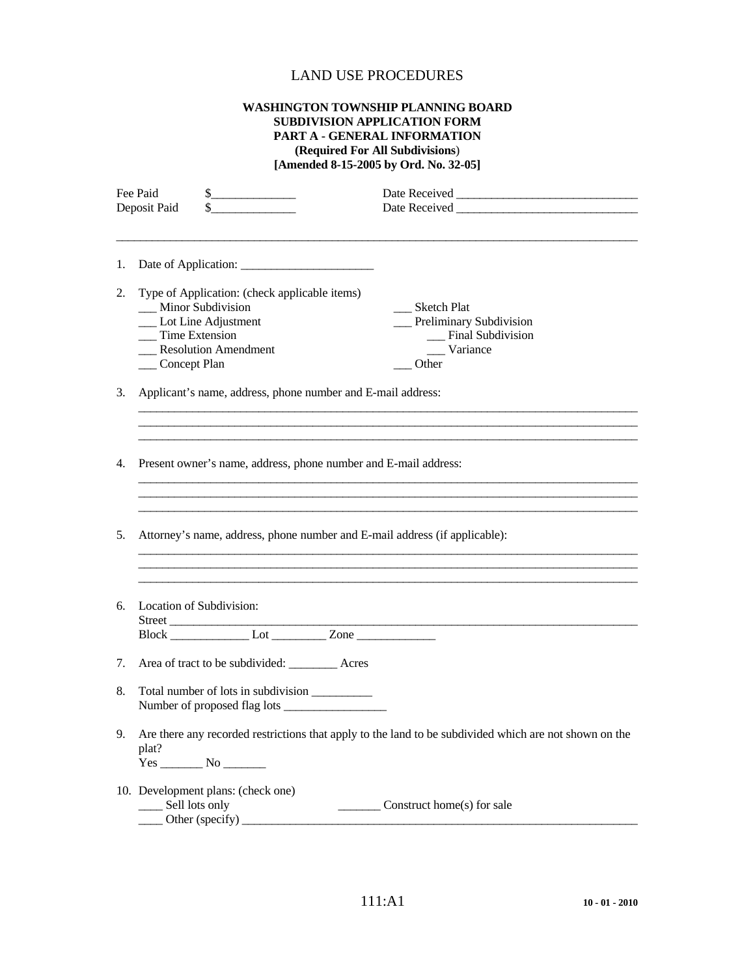## LAND USE PROCEDURES

## **WASHINGTON TOWNSHIP PLANNING BOARD SUBDIVISION APPLICATION FORM PART A - GENERAL INFORMATION (Required For All Subdivisions**) **[Amended 8-15-2005 by Ord. No. 32-05]**

| Fee Paid<br>$\frac{1}{2}$<br>$\frac{1}{2}$<br>Deposit Paid            |                                                                                                                                                              |                                                                                                        |  |
|-----------------------------------------------------------------------|--------------------------------------------------------------------------------------------------------------------------------------------------------------|--------------------------------------------------------------------------------------------------------|--|
| 1.                                                                    |                                                                                                                                                              |                                                                                                        |  |
| 2.                                                                    | Type of Application: (check applicable items)<br>__ Minor Subdivision<br>__ Lot Line Adjustment<br>Time Extension<br>Resolution Amendment<br>__ Concept Plan | __ Sketch Plat<br>__ Preliminary Subdivision<br>__ Final Subdivision<br>__ Variance<br>Other           |  |
| 3.                                                                    | Applicant's name, address, phone number and E-mail address:                                                                                                  |                                                                                                        |  |
|                                                                       |                                                                                                                                                              |                                                                                                        |  |
| Present owner's name, address, phone number and E-mail address:<br>4. |                                                                                                                                                              |                                                                                                        |  |
|                                                                       |                                                                                                                                                              |                                                                                                        |  |
| 5.                                                                    | Attorney's name, address, phone number and E-mail address (if applicable):                                                                                   |                                                                                                        |  |
| 6.                                                                    | Location of Subdivision:                                                                                                                                     |                                                                                                        |  |
|                                                                       | Street<br>Block Lot Zone                                                                                                                                     |                                                                                                        |  |
| 7.                                                                    | Area of tract to be subdivided: ___________ Acres                                                                                                            |                                                                                                        |  |
| 8.                                                                    | Total number of lots in subdivision ___________                                                                                                              |                                                                                                        |  |
| 9.                                                                    | plat?                                                                                                                                                        | Are there any recorded restrictions that apply to the land to be subdivided which are not shown on the |  |
|                                                                       | 10. Development plans: (check one)<br>__ Sell lots only<br>Other (specify)                                                                                   | Construct home(s) for sale                                                                             |  |